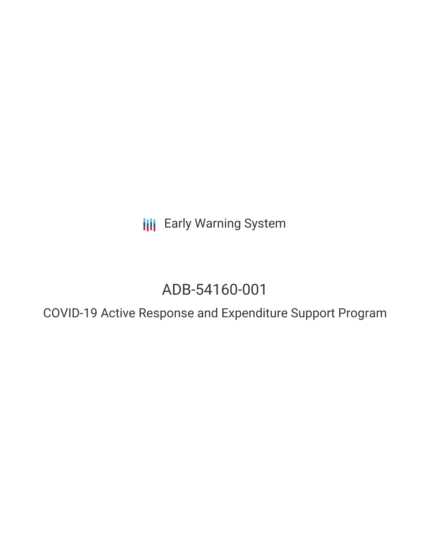**III** Early Warning System

# ADB-54160-001

COVID-19 Active Response and Expenditure Support Program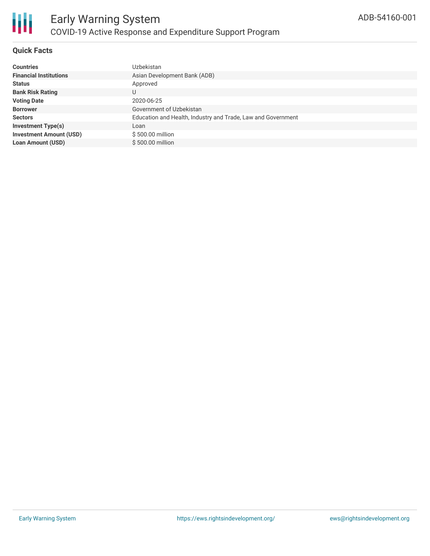

### **Quick Facts**

| <b>Countries</b>               | Uzbekistan                                                   |
|--------------------------------|--------------------------------------------------------------|
| <b>Financial Institutions</b>  | Asian Development Bank (ADB)                                 |
| <b>Status</b>                  | Approved                                                     |
| <b>Bank Risk Rating</b>        | U                                                            |
| <b>Voting Date</b>             | 2020-06-25                                                   |
| <b>Borrower</b>                | Government of Uzbekistan                                     |
| <b>Sectors</b>                 | Education and Health, Industry and Trade, Law and Government |
| <b>Investment Type(s)</b>      | Loan                                                         |
| <b>Investment Amount (USD)</b> | \$500.00 million                                             |
| <b>Loan Amount (USD)</b>       | \$500,00 million                                             |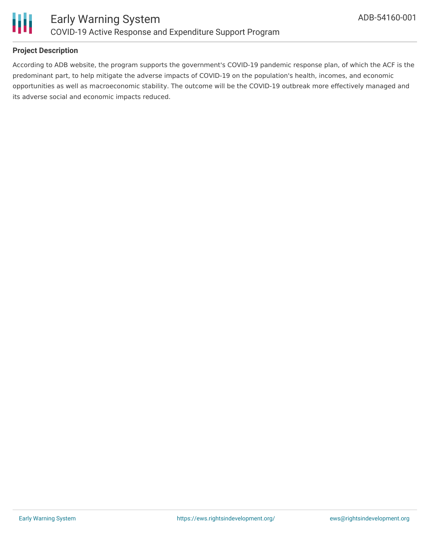

## **Project Description**

According to ADB website, the program supports the government's COVID-19 pandemic response plan, of which the ACF is the predominant part, to help mitigate the adverse impacts of COVID-19 on the population's health, incomes, and economic opportunities as well as macroeconomic stability. The outcome will be the COVID-19 outbreak more effectively managed and its adverse social and economic impacts reduced.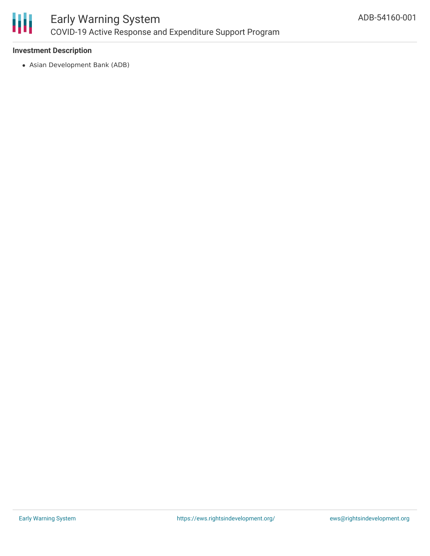

### **Investment Description**

Asian Development Bank (ADB)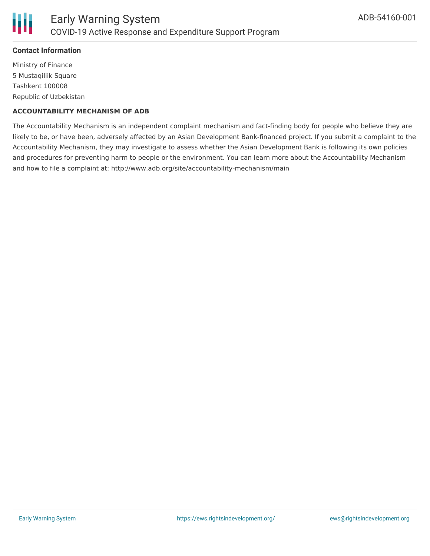

### **Contact Information**

Ministry of Finance 5 Mustaqiliik Square Tashkent 100008 Republic of Uzbekistan

#### **ACCOUNTABILITY MECHANISM OF ADB**

The Accountability Mechanism is an independent complaint mechanism and fact-finding body for people who believe they are likely to be, or have been, adversely affected by an Asian Development Bank-financed project. If you submit a complaint to the Accountability Mechanism, they may investigate to assess whether the Asian Development Bank is following its own policies and procedures for preventing harm to people or the environment. You can learn more about the Accountability Mechanism and how to file a complaint at: http://www.adb.org/site/accountability-mechanism/main